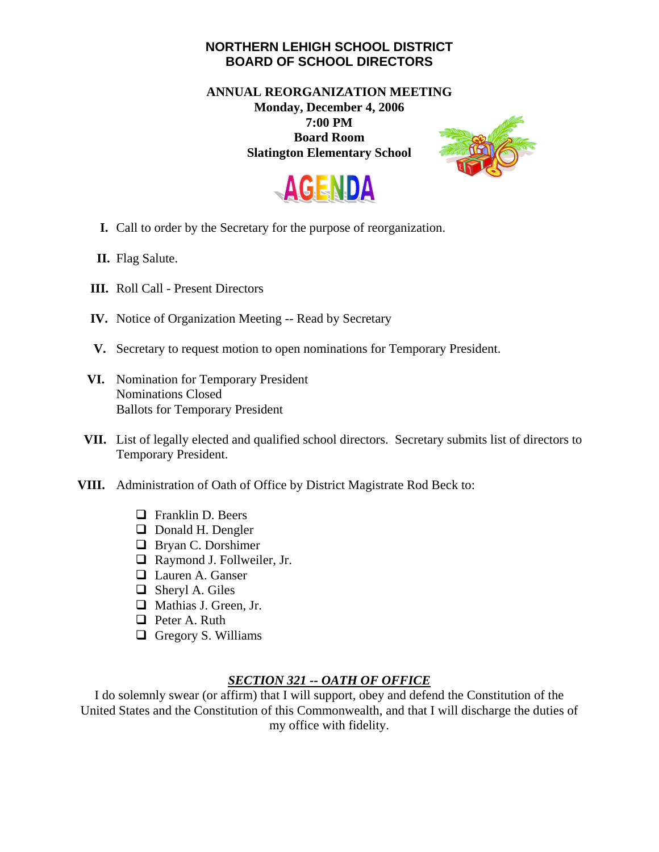## **NORTHERN LEHIGH SCHOOL DISTRICT BOARD OF SCHOOL DIRECTORS**

## **ANNUAL REORGANIZATION MEETING Monday, December 4, 2006 7:00 PM Board Room Slatington Elementary School**





- **I.** Call to order by the Secretary for the purpose of reorganization.
- **II.** Flag Salute.
- **III.** Roll Call Present Directors
- **IV.** Notice of Organization Meeting -- Read by Secretary
- **V.** Secretary to request motion to open nominations for Temporary President.
- **VI.** Nomination for Temporary President Nominations Closed Ballots for Temporary President
- **VII.** List of legally elected and qualified school directors. Secretary submits list of directors to Temporary President.
- **VIII.** Administration of Oath of Office by District Magistrate Rod Beck to:
	- $\Box$  Franklin D. Beers
	- **D** Donald H. Dengler
	- **Bryan C. Dorshimer**
	- Raymond J. Follweiler, Jr.
	- **Lauren A. Ganser**
	- Sheryl A. Giles
	- Mathias J. Green, Jr.
	- **P**eter A. Ruth
	- $\Box$  Gregory S. Williams

## *SECTION 321 -- OATH OF OFFICE*

I do solemnly swear (or affirm) that I will support, obey and defend the Constitution of the United States and the Constitution of this Commonwealth, and that I will discharge the duties of my office with fidelity.